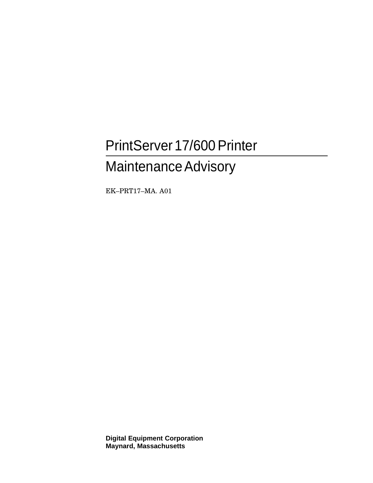# PrintServer 17/600 Printer **Maintenance Advisory**

EK-PRT17-MA. A01

**Digital Equipment Corporation Maynard, Massachusetts**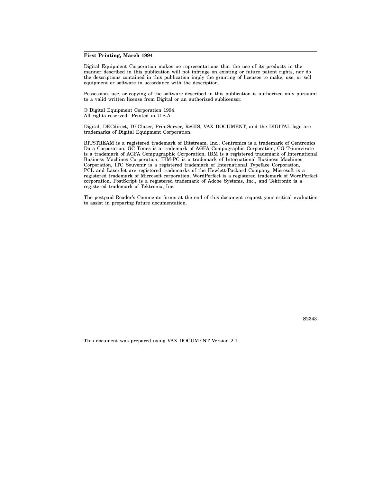#### **First Printing, March 1994**

Digital Equipment Corporation makes no representations that the use of its products in the manner described in this publication will not infringe on existing or future patent rights, nor do the descriptions contained in this publication imply the granting of licenses to make, use, or sell equipment or software in accordance with the description.

Possession, use, or copying of the software described in this publication is authorized only pursuant to a valid written license from Digital or an authorized sublicensor.

© Digital Equipment Corporation 1994. All rights reserved. Printed in U.S.A.

Digital, DECdirect, DEClaser, PrintServer, ReGIS, VAX DOCUMENT, and the DIGITAL logo are trademarks of Digital Equipment Corporation.

BITSTREAM is a registered trademark of Bitstream, Inc., Centronics is a trademark of Centronics Data Corporation, GC Times is a trademark of AGFA Compugraphic Corporation, CG Triumvirate is a trademark of AGFA Compugraphic Corporation, IBM is a registered trademark of International Business Machines Corporation, IBM-PC is a trademark of International Business Machines Corporation, ITC Souvenir is a registered trademark of International Typeface Corporation, PCL and LaserJet are registered trademarks of the Hewlett-Packard Company, Microsoft is a registered trademark of Microsoft corporation, WordPerfect is a registered trademark of WordPerfect corporation, PostScript is a registered trademark of Adobe Systems, Inc., and Tektronix is a registered trademark of Tektronix, Inc.

The postpaid Reader's Comments forms at the end of this document request your critical evaluation to assist in preparing future documentation.

S2343

This document was prepared using VAX DOCUMENT Version 2.1.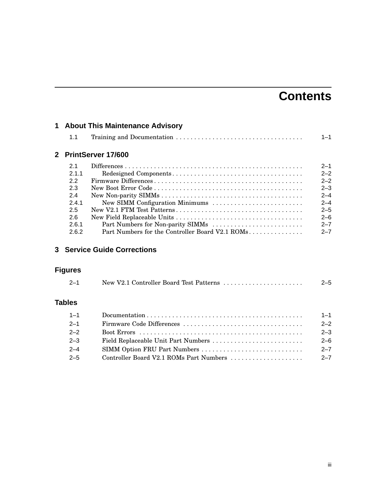## **Contents**

| 1 About This Maintenance Advisory |                                                  |         |  |
|-----------------------------------|--------------------------------------------------|---------|--|
| 1.1                               |                                                  | $1 - 1$ |  |
|                                   | 2 PrintServer 17/600                             |         |  |
| 2.1                               |                                                  | $2 - 1$ |  |
| 2.1.1                             |                                                  | $2 - 2$ |  |
| 2.2                               |                                                  | $2 - 2$ |  |
| 2.3                               |                                                  | $2 - 3$ |  |
| 2.4                               |                                                  | $2 - 4$ |  |
| 241                               | New SIMM Configuration Minimums                  | $2 - 4$ |  |
| 2.5                               |                                                  | $2 - 5$ |  |
| 2.6                               |                                                  | $2 - 6$ |  |
| 2.6.1                             |                                                  | $2 - 7$ |  |
| 2.6.2                             | Part Numbers for the Controller Board V2.1 ROMs. | $2 - 7$ |  |

## **3 Service Guide Corrections**

## **Figures**

| $2 - 1$       | New V2.1 Controller Board Test Patterns | $2 - 5$ |
|---------------|-----------------------------------------|---------|
| <b>Tables</b> |                                         |         |
| $1 - 1$       |                                         | $1 - 1$ |
| $2 - 1$       |                                         | $2 - 2$ |
| $2 - 2$       |                                         | $2 - 3$ |

| $2 - 2$ |                                         | $2 - 3$ |
|---------|-----------------------------------------|---------|
| $2 - 3$ |                                         | -2–6    |
| 2–4     |                                         | $2 - 7$ |
| $2 - 5$ | Controller Board V2.1 ROMs Part Numbers | $2 - 7$ |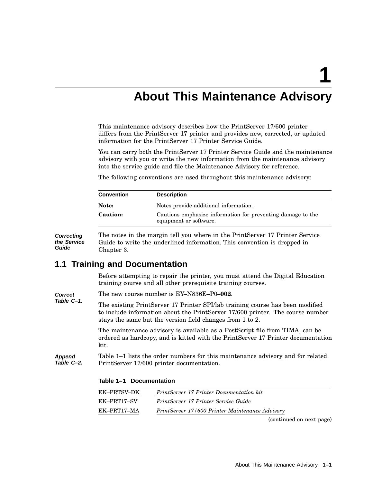**1**

## **About This Maintenance Advisory**

This maintenance advisory describes how the PrintServer 17/600 printer differs from the PrintServer 17 printer and provides new, corrected, or updated information for the PrintServer 17 Printer Service Guide.

You can carry both the PrintServer 17 Printer Service Guide and the maintenance advisory with you or write the new information from the maintenance advisory into the service guide and file the Maintenance Advisory for reference.

The following conventions are used throughout this maintenance advisory:

| <b>Convention</b> | <b>Description</b>                                                                    |
|-------------------|---------------------------------------------------------------------------------------|
| Note:             | Notes provide additional information.                                                 |
| <b>Caution:</b>   | Cautions emphasize information for preventing damage to the<br>equipment or software. |

**Correcting the Service Guide** The notes in the margin tell you where in the PrintServer 17 Printer Service Guide to write the underlined information. This convention is dropped in Chapter 3.

### **1.1 Training and Documentation**

Before attempting to repair the printer, you must attend the Digital Education training course and all other prerequisite training courses.

**Correct Table C–1.** The new course number is EY–N836E–P0**–002**. The existing PrintServer 17 Printer SPI/lab training course has been modified to include information about the PrintServer 17/600 printer. The course number

stays the same but the version field changes from 1 to 2.

The maintenance advisory is available as a PostScript file from TIMA, can be ordered as hardcopy, and is kitted with the PrintServer 17 Printer documentation kit.

**Append Table C–2.** Table 1–1 lists the order numbers for this maintenance advisory and for related PrintServer 17/600 printer documentation.

| EK-PRTSV-DK | <b>PrintServer 17 Printer Documentation kit</b> |
|-------------|-------------------------------------------------|
| EK-PRT17-SV | PrintServer 17 Printer Service Guide            |
| EK–PRT17–MA | PrintServer 17/600 Printer Maintenance Advisory |

**Table 1–1 Documentation**

(continued on next page)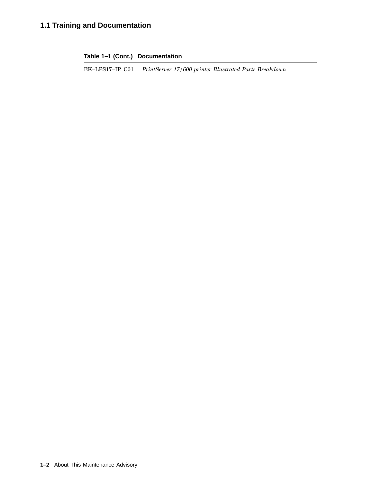## **1.1 Training and Documentation**

**Table 1–1 (Cont.) Documentation**

EK–LPS17–IP. C01 *PrintServer 17/600 printer Illustrated Parts Breakdown*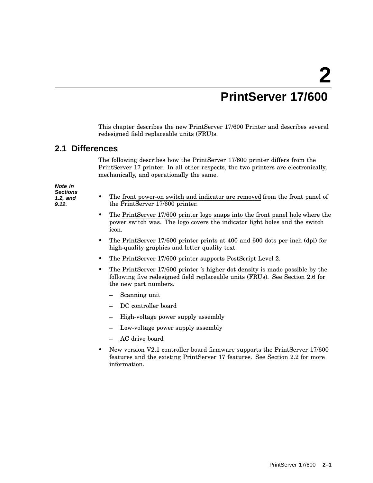## **PrintServer 17/600**

This chapter describes the new PrintServer 17/600 Printer and describes several redesigned field replaceable units (FRU)s.

## **2.1 Differences**

The following describes how the PrintServer 17/600 printer differs from the PrintServer 17 printer. In all other respects, the two printers are electronically, mechanically, and operationally the same.

**Note in Sections 1.2, and 9.12.**

- The front power-on switch and indicator are removed from the front panel of the PrintServer 17/600 printer.
- The PrintServer 17/600 printer logo snaps into the front panel hole where the power switch was. The logo covers the indicator light holes and the switch icon.
- The PrintServer 17/600 printer prints at 400 and 600 dots per inch (dpi) for high-quality graphics and letter quality text.
- The PrintServer 17/600 printer supports PostScript Level 2.
- The PrintServer 17/600 printer 's higher dot density is made possible by the following five redesigned field replaceable units (FRUs). See Section 2.6 for the new part numbers.
	- Scanning unit
	- DC controller board
	- High-voltage power supply assembly
	- Low-voltage power supply assembly
	- AC drive board
- New version V2.1 controller board firmware supports the PrintServer 17/600 features and the existing PrintServer 17 features. See Section 2.2 for more information.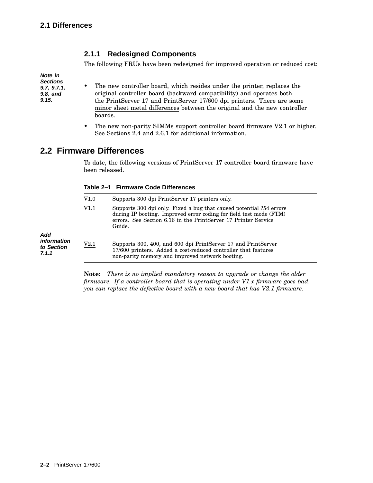### **2.1.1 Redesigned Components**

The following FRUs have been redesigned for improved operation or reduced cost:

**Note in Sections 9.7, 9.7.1, 9.8, and 9.15.**

- The new controller board, which resides under the printer, replaces the original controller board (backward compatibility) and operates both the PrintServer 17 and PrintServer 17/600 dpi printers. There are some minor sheet metal differences between the original and the new controller boards.
	- The new non-parity SIMMs support controller board firmware V2.1 or higher. See Sections 2.4 and 2.6.1 for additional information.

## **2.2 Firmware Differences**

To date, the following versions of PrintServer 17 controller board firmware have been released.

|  |  | Table 2-1 Firmware Code Differences |
|--|--|-------------------------------------|
|--|--|-------------------------------------|

| V1.0<br>Supports 300 dpi PrintServer 17 printers only. |      |                                                                                                                                                                                                                         |
|--------------------------------------------------------|------|-------------------------------------------------------------------------------------------------------------------------------------------------------------------------------------------------------------------------|
|                                                        | V1.1 | Supports 300 dpi only. Fixed a bug that caused potential $?54$ errors<br>during IP booting. Improved error coding for field test mode (FTM)<br>errors. See Section 6.16 in the PrintServer 17 Printer Service<br>Guide. |
| Add<br><i>information</i><br>to Section<br>7.1.1       | V2.1 | Supports 300, 400, and 600 dpi PrintServer 17 and PrintServer<br>17/600 printers. Added a cost-reduced controller that features<br>non-parity memory and improved network booting.                                      |

**Note:** *There is no implied mandatory reason to upgrade or change the older firmware. If a controller board that is operating under V1.x firmware goes bad, you can replace the defective board with a new board that has V2.1 firmware.*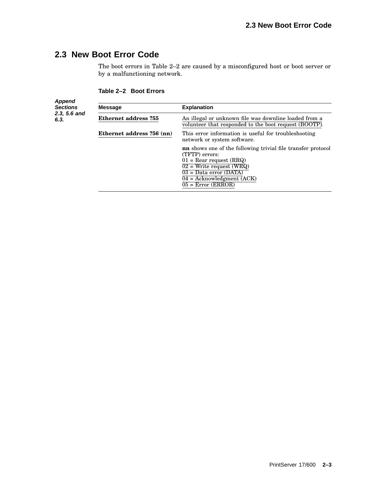## **2.3 New Boot Error Code**

The boot errors in Table 2–2 are caused by a misconfigured host or boot server or by a malfunctioning network.

#### **Table 2–2 Boot Errors**

**Append Sections 2.3, 5.6 and 6.3. Message Explanation Ethernet address ?55** An illegal or unknown file was downline loaded from a volunteer that responded to the boot request (BOOTP). **Ethernet address ?56 (nn)** This error information is useful for troubleshooting network or system software. **nn** shows one of the following trivial file transfer protocol (TFTP) errors:  $01$  = Rear request (RRQ)  $02$  = Write request (WRQ) 03 = Data error (DATA)  $04 = Acknowledgment (ACK)$  $05 = Error (ERROR)$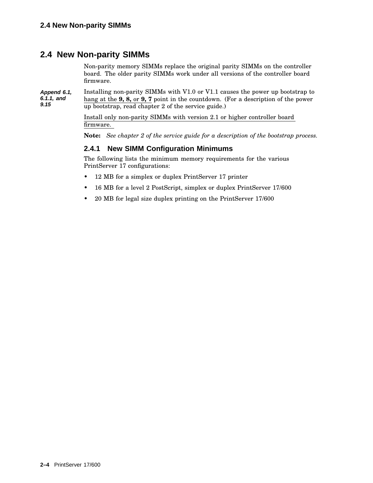## **2.4 New Non-parity SIMMs**

Non-parity memory SIMMs replace the original parity SIMMs on the controller board. The older parity SIMMs work under all versions of the controller board firmware.

**Append 6.1, 6.1.1, and 9.15** Installing non-parity SIMMs with V1.0 or V1.1 causes the power up bootstrap to hang at the **9, 8,** or **9, 7** point in the countdown. (For a description of the power up bootstrap, read chapter 2 of the service guide.)

> Install only non-parity SIMMs with version 2.1 or higher controller board firmware.

**Note:** *See chapter 2 of the service guide for a description of the bootstrap process.*

#### **2.4.1 New SIMM Configuration Minimums**

The following lists the minimum memory requirements for the various PrintServer 17 configurations:

- 12 MB for a simplex or duplex PrintServer 17 printer
- 16 MB for a level 2 PostScript, simplex or duplex PrintServer 17/600
- 20 MB for legal size duplex printing on the PrintServer 17/600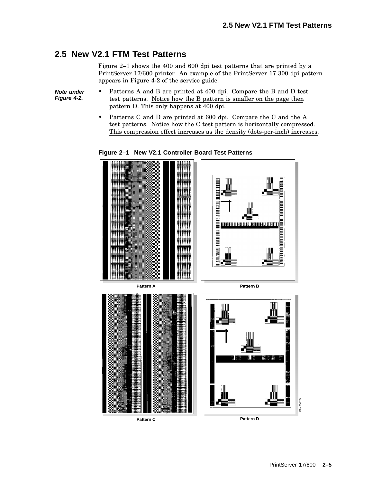## **2.5 New V2.1 FTM Test Patterns**

Figure 2–1 shows the 400 and 600 dpi test patterns that are printed by a PrintServer 17/600 printer. An example of the PrintServer 17 300 dpi pattern appears in Figure 4-2 of the service guide.

**Note under Figure 4-2.**

- Patterns A and B are printed at 400 dpi. Compare the B and D test test patterns. Notice how the B pattern is smaller on the page then pattern D. This only happens at 400 dpi.
- Patterns C and D are printed at 600 dpi. Compare the C and the A test patterns. Notice how the C test pattern is horizontally compressed. This compression effect increases as the density (dots-per-inch) increases.

**Figure 2–1 New V2.1 Controller Board Test Patterns**

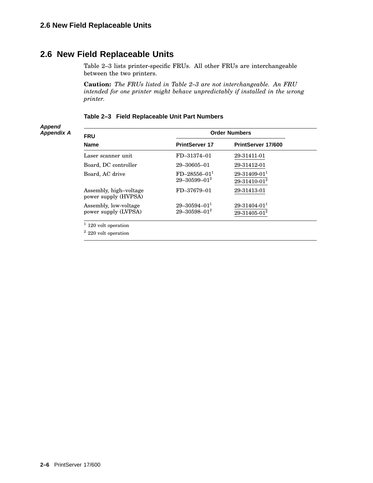### **2.6 New Field Replaceable Units**

Table 2–3 lists printer-specific FRUs. All other FRUs are interchangeable between the two printers.

**Caution:** *The FRUs listed in Table 2–3 are not interchangeable. An FRU intended for one printer might behave unpredictably if installed in the wrong printer.*

#### **Table 2–3 Field Replaceable Unit Part Numbers**

#### **Append Appendix A**

| <b>FRU</b>                                     | <b>Order Numbers</b>                      |                                                |  |
|------------------------------------------------|-------------------------------------------|------------------------------------------------|--|
| <b>Name</b>                                    | <b>PrintServer 17</b>                     | PrintServer 17/600                             |  |
| Laser scanner unit                             | FD-31374-01                               | 29-31411-01                                    |  |
| Board, DC controller                           | $29 - 30605 - 01$                         | 29-31412-01                                    |  |
| Board, AC drive                                | $FD - 28556 - 011$<br>$29 - 30599 - 01^2$ | $29-31409-01^1$<br>29-31410-01 <sup>2</sup>    |  |
| Assembly, high-voltage<br>power supply (HVPSA) | FD-37679-01                               | 29-31413-01                                    |  |
| Assembly, low-voltage<br>power supply (LVPSA)  | $29 - 30594 - 011$<br>$29 - 30598 - 01^2$ | $29 - 31404 - 011$<br>29-31405-01 <sup>2</sup> |  |
| $1$ 120 volt operation                         |                                           |                                                |  |

 $^{\rm 2}$  220 volt operation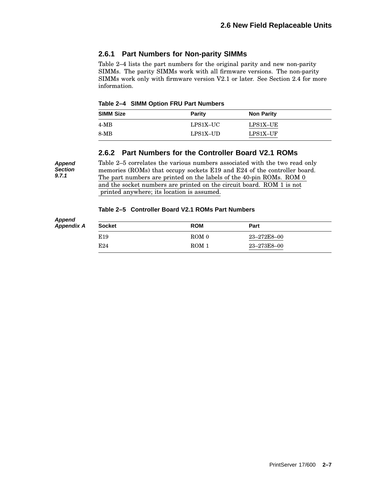#### **2.6.1 Part Numbers for Non-parity SIMMs**

Table 2–4 lists the part numbers for the original parity and new non-parity SIMMs. The parity SIMMs work with all firmware versions. The non-parity SIMMs work only with firmware version V2.1 or later. See Section 2.4 for more information.

**Table 2–4 SIMM Option FRU Part Numbers**

**Append Section 9.7.1**

| <b>SIMM Size</b> | Parity   | <b>Non Parity</b> |
|------------------|----------|-------------------|
| $4-MB$           | LPS1X–UC | $LPS1X-UE$        |
| 8-MB             | LPS1X-UD | LPS1X-UF          |

#### **2.6.2 Part Numbers for the Controller Board V2.1 ROMs**

Table 2–5 correlates the various numbers associated with the two read only memories (ROMs) that occupy sockets E19 and E24 of the controller board. The part numbers are printed on the labels of the 40-pin ROMs. ROM 0 and the socket numbers are printed on the circuit board. ROM 1 is not printed anywhere; its location is assumed.

#### **Table 2–5 Controller Board V2.1 ROMs Part Numbers**

| <b>Socket</b>   | <b>ROM</b>       | Part        |  |
|-----------------|------------------|-------------|--|
| E <sub>19</sub> | ROM <sub>0</sub> | 23–272E8–00 |  |
| E24             | $ROM_1$          | 23-273E8-00 |  |
|                 |                  |             |  |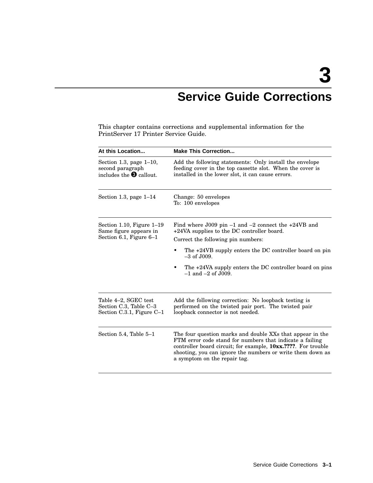## **Service Guide Corrections**

This chapter contains corrections and supplemental information for the PrintServer 17 Printer Service Guide.

| At this Location                                                                   | <b>Make This Correction</b>                                                                                                                                                                                                                                                                                        |  |  |
|------------------------------------------------------------------------------------|--------------------------------------------------------------------------------------------------------------------------------------------------------------------------------------------------------------------------------------------------------------------------------------------------------------------|--|--|
| Section 1.3, page $1-10$ ,<br>second paragraph<br>includes the $\bullet$ callout.  | Add the following statements: Only install the envelope<br>feeding cover in the top cassette slot. When the cover is<br>installed in the lower slot, it can cause errors.                                                                                                                                          |  |  |
| Section 1.3, page $1-14$                                                           | Change: 50 envelopes<br>To: 100 envelopes                                                                                                                                                                                                                                                                          |  |  |
| Section 1.10, Figure $1-19$<br>Same figure appears in<br>Section 6.1, Figure $6-1$ | Find where $J009$ pin $-1$ and $-2$ connect the $+24VB$ and<br>+24VA supplies to the DC controller board.<br>Correct the following pin numbers:<br>The +24VB supply enters the DC controller board on pin<br>$-3$ of $J009$ .<br>The +24VA supply enters the DC controller board on pins<br>$-1$ and $-2$ of J009. |  |  |
| Table 4-2, SGEC test<br>Section C.3, Table C-3<br>Section $C.3.1$ , Figure $C-1$   | Add the following correction: No loopback testing is<br>performed on the twisted pair port. The twisted pair<br>loopback connector is not needed.                                                                                                                                                                  |  |  |
| Section 5.4, Table 5–1                                                             | The four question marks and double XXs that appear in the<br>FTM error code stand for numbers that indicate a failing<br>controller board circuit; for example, 10xx.????. For trouble<br>shooting, you can ignore the numbers or write them down as<br>a symptom on the repair tag.                               |  |  |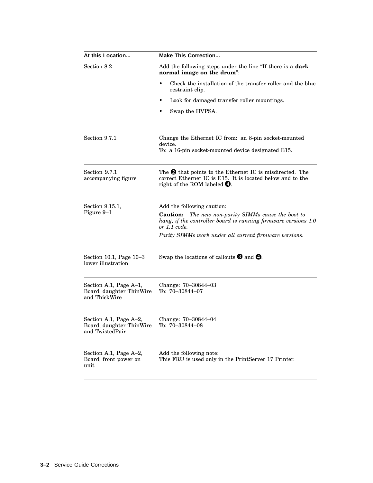| At this Location                                                      | <b>Make This Correction</b>                                                                                                                                              |  |  |
|-----------------------------------------------------------------------|--------------------------------------------------------------------------------------------------------------------------------------------------------------------------|--|--|
| Section 8.2                                                           | Add the following steps under the line "If there is a <b>dark</b><br>normal image on the drum":                                                                          |  |  |
|                                                                       | Check the installation of the transfer roller and the blue<br>٠<br>restraint clip.                                                                                       |  |  |
|                                                                       | Look for damaged transfer roller mountings.                                                                                                                              |  |  |
|                                                                       | Swap the HVPSA.                                                                                                                                                          |  |  |
| Section 9.7.1                                                         | Change the Ethernet IC from: an 8-pin socket-mounted<br>device.<br>To: a 16-pin socket-mounted device designated E15.                                                    |  |  |
| Section 9.7.1<br>accompanying figure                                  | The $\Theta$ that points to the Ethernet IC is misdirected. The<br>correct Ethernet IC is E15. It is located below and to the<br>right of the ROM labeled $\mathbf{Q}$ . |  |  |
| Section 9.15.1,                                                       | Add the following caution:                                                                                                                                               |  |  |
| Figure 9–1                                                            | <b>Caution:</b><br>The new non-parity SIMMs cause the boot to<br>hang, if the controller board is running firmware versions 1.0<br>or 1.1 code.                          |  |  |
|                                                                       | Parity SIMMs work under all current firmware versions.                                                                                                                   |  |  |
| Section 10.1, Page $10-3$<br>lower illustration                       | Swap the locations of callouts $\Theta$ and $\Theta$ .                                                                                                                   |  |  |
| Section A.1, Page A-1,<br>Board, daughter ThinWire<br>and ThickWire   | Change: 70–30844–03<br>To: $70 - 30844 - 07$                                                                                                                             |  |  |
| Section A.1, Page A-2,<br>Board, daughter ThinWire<br>and TwistedPair | Change: 70-30844-04<br>To: 70-30844-08                                                                                                                                   |  |  |
| Section A.1, Page A-2,<br>Board, front power on<br>unit               | Add the following note:<br>This FRU is used only in the PrintServer 17 Printer.                                                                                          |  |  |